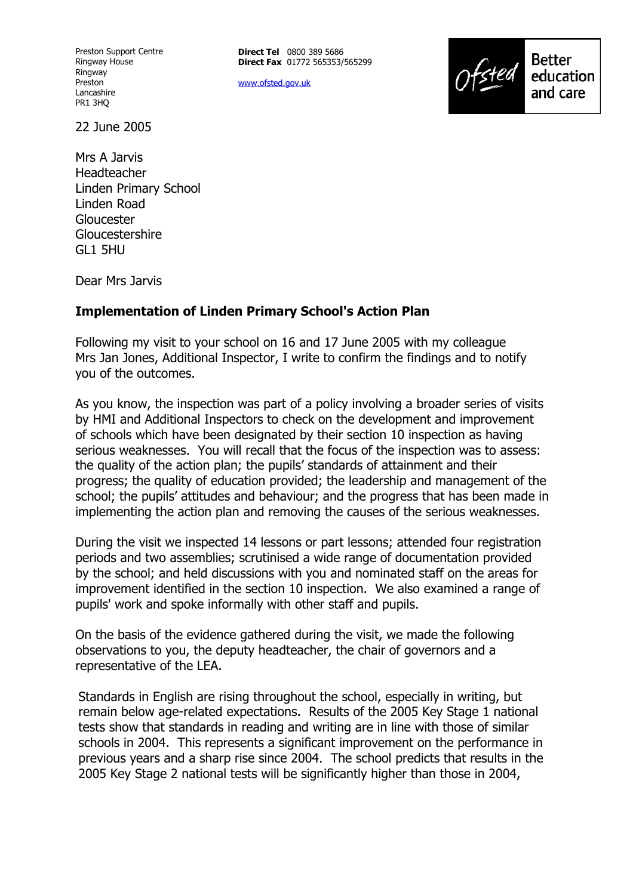Preston Support Centre Ringway House Ringway Preston Lancashire PR1 3HQ

**Direct Tel** 0800 389 5686 **Direct Fax** 01772 565353/565299

www.ofsted.gov.uk



22 June 2005

Mrs A Jarvis Headteacher Linden Primary School Linden Road Gloucester **Gloucestershire** GL1 5HU

Dear Mrs Jarvis

### **Implementation of Linden Primary School's Action Plan**

Following my visit to your school on 16 and 17 June 2005 with my colleague Mrs Jan Jones, Additional Inspector, I write to confirm the findings and to notify you of the outcomes.

As you know, the inspection was part of a policy involving a broader series of visits by HMI and Additional Inspectors to check on the development and improvement of schools which have been designated by their section 10 inspection as having serious weaknesses. You will recall that the focus of the inspection was to assess: the quality of the action plan; the pupils' standards of attainment and their progress; the quality of education provided; the leadership and management of the school; the pupils' attitudes and behaviour; and the progress that has been made in implementing the action plan and removing the causes of the serious weaknesses.

During the visit we inspected 14 lessons or part lessons; attended four registration periods and two assemblies; scrutinised a wide range of documentation provided by the school; and held discussions with you and nominated staff on the areas for improvement identified in the section 10 inspection. We also examined a range of pupils' work and spoke informally with other staff and pupils.

On the basis of the evidence gathered during the visit, we made the following observations to you, the deputy headteacher, the chair of governors and a representative of the LEA.

Standards in English are rising throughout the school, especially in writing, but remain below age-related expectations. Results of the 2005 Key Stage 1 national tests show that standards in reading and writing are in line with those of similar schools in 2004. This represents a significant improvement on the performance in previous years and a sharp rise since 2004. The school predicts that results in the 2005 Key Stage 2 national tests will be significantly higher than those in 2004,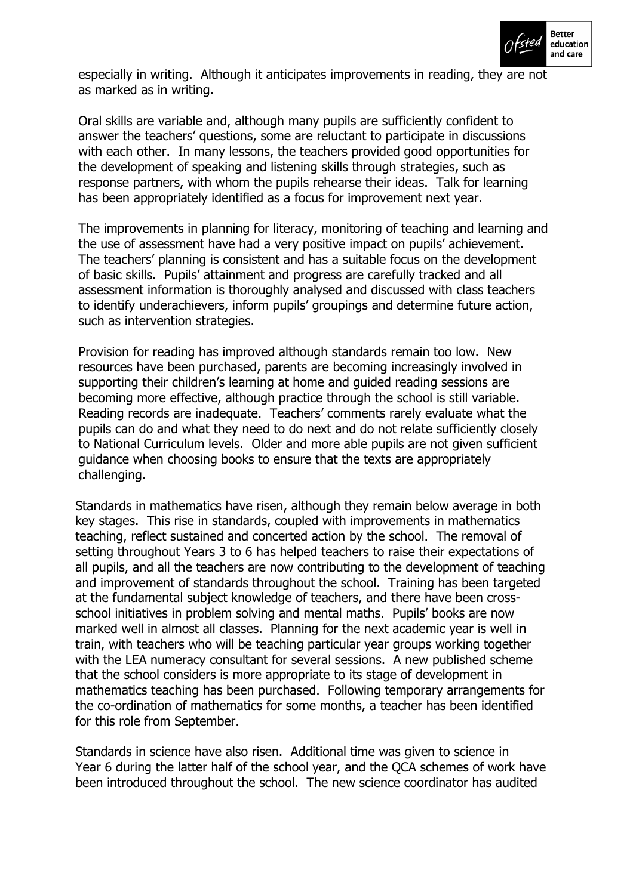

especially in writing. Although it anticipates improvements in reading, they are not as marked as in writing.

Oral skills are variable and, although many pupils are sufficiently confident to answer the teachers' questions, some are reluctant to participate in discussions with each other. In many lessons, the teachers provided good opportunities for the development of speaking and listening skills through strategies, such as response partners, with whom the pupils rehearse their ideas. Talk for learning has been appropriately identified as a focus for improvement next year.

The improvements in planning for literacy, monitoring of teaching and learning and the use of assessment have had a very positive impact on pupils' achievement. The teachers' planning is consistent and has a suitable focus on the development of basic skills. Pupilsí attainment and progress are carefully tracked and all assessment information is thoroughly analysed and discussed with class teachers to identify underachievers, inform pupils' groupings and determine future action, such as intervention strategies.

Provision for reading has improved although standards remain too low. New resources have been purchased, parents are becoming increasingly involved in supporting their children's learning at home and guided reading sessions are becoming more effective, although practice through the school is still variable. Reading records are inadequate. Teachers' comments rarely evaluate what the pupils can do and what they need to do next and do not relate sufficiently closely to National Curriculum levels. Older and more able pupils are not given sufficient guidance when choosing books to ensure that the texts are appropriately challenging.

Standards in mathematics have risen, although they remain below average in both key stages. This rise in standards, coupled with improvements in mathematics teaching, reflect sustained and concerted action by the school. The removal of setting throughout Years 3 to 6 has helped teachers to raise their expectations of all pupils, and all the teachers are now contributing to the development of teaching and improvement of standards throughout the school. Training has been targeted at the fundamental subject knowledge of teachers, and there have been crossschool initiatives in problem solving and mental maths. Pupils' books are now marked well in almost all classes. Planning for the next academic year is well in train, with teachers who will be teaching particular year groups working together with the LEA numeracy consultant for several sessions. A new published scheme that the school considers is more appropriate to its stage of development in mathematics teaching has been purchased. Following temporary arrangements for the co-ordination of mathematics for some months, a teacher has been identified for this role from September.

Standards in science have also risen. Additional time was given to science in Year 6 during the latter half of the school year, and the QCA schemes of work have been introduced throughout the school. The new science coordinator has audited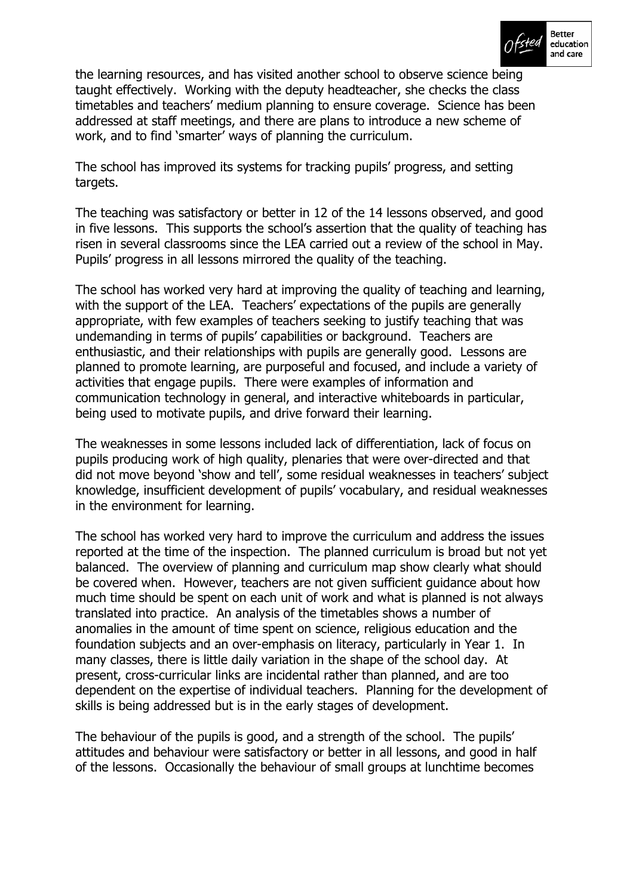

the learning resources, and has visited another school to observe science being taught effectively. Working with the deputy headteacher, she checks the class timetables and teachers' medium planning to ensure coverage. Science has been addressed at staff meetings, and there are plans to introduce a new scheme of work, and to find 'smarter' ways of planning the curriculum.

The school has improved its systems for tracking pupils' progress, and setting targets.

The teaching was satisfactory or better in 12 of the 14 lessons observed, and good in five lessons. This supports the school's assertion that the quality of teaching has risen in several classrooms since the LEA carried out a review of the school in May. Pupils' progress in all lessons mirrored the quality of the teaching.

The school has worked very hard at improving the quality of teaching and learning, with the support of the LEA. Teachers' expectations of the pupils are generally appropriate, with few examples of teachers seeking to justify teaching that was undemanding in terms of pupilsí capabilities or background. Teachers are enthusiastic, and their relationships with pupils are generally good. Lessons are planned to promote learning, are purposeful and focused, and include a variety of activities that engage pupils. There were examples of information and communication technology in general, and interactive whiteboards in particular, being used to motivate pupils, and drive forward their learning.

The weaknesses in some lessons included lack of differentiation, lack of focus on pupils producing work of high quality, plenaries that were over-directed and that did not move beyond 'show and tell', some residual weaknesses in teachers' subject knowledge, insufficient development of pupils' vocabulary, and residual weaknesses in the environment for learning.

The school has worked very hard to improve the curriculum and address the issues reported at the time of the inspection. The planned curriculum is broad but not yet balanced. The overview of planning and curriculum map show clearly what should be covered when. However, teachers are not given sufficient guidance about how much time should be spent on each unit of work and what is planned is not always translated into practice. An analysis of the timetables shows a number of anomalies in the amount of time spent on science, religious education and the foundation subjects and an over-emphasis on literacy, particularly in Year 1. In many classes, there is little daily variation in the shape of the school day. At present, cross-curricular links are incidental rather than planned, and are too dependent on the expertise of individual teachers. Planning for the development of skills is being addressed but is in the early stages of development.

The behaviour of the pupils is good, and a strength of the school. The pupils' attitudes and behaviour were satisfactory or better in all lessons, and good in half of the lessons. Occasionally the behaviour of small groups at lunchtime becomes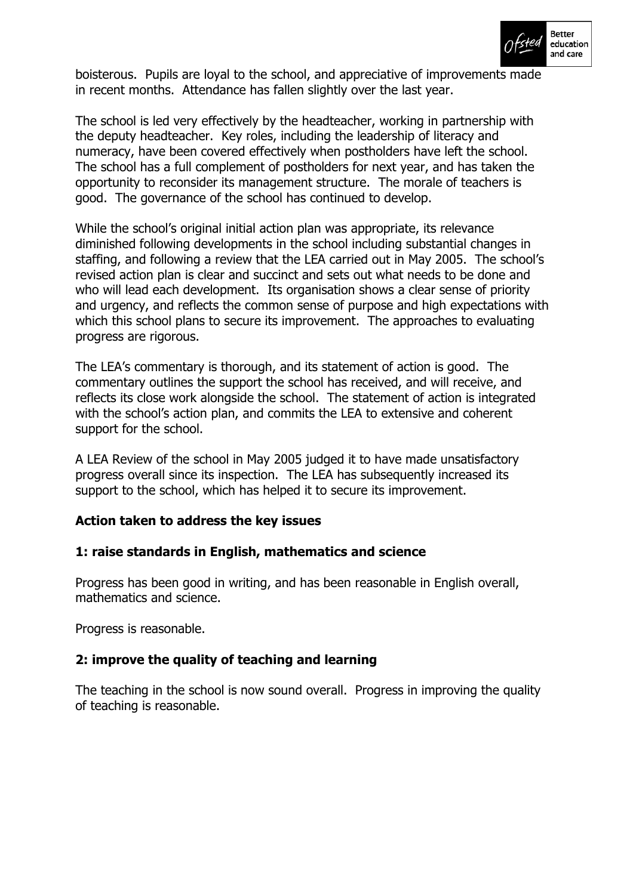

boisterous. Pupils are loyal to the school, and appreciative of improvements made in recent months. Attendance has fallen slightly over the last year.

The school is led very effectively by the headteacher, working in partnership with the deputy headteacher. Key roles, including the leadership of literacy and numeracy, have been covered effectively when postholders have left the school. The school has a full complement of postholders for next year, and has taken the opportunity to reconsider its management structure. The morale of teachers is good. The governance of the school has continued to develop.

While the school's original initial action plan was appropriate, its relevance diminished following developments in the school including substantial changes in staffing, and following a review that the LEA carried out in May 2005. The schoolís revised action plan is clear and succinct and sets out what needs to be done and who will lead each development. Its organisation shows a clear sense of priority and urgency, and reflects the common sense of purpose and high expectations with which this school plans to secure its improvement. The approaches to evaluating progress are rigorous.

The LEAís commentary is thorough, and its statement of action is good. The commentary outlines the support the school has received, and will receive, and reflects its close work alongside the school. The statement of action is integrated with the school's action plan, and commits the LEA to extensive and coherent support for the school.

A LEA Review of the school in May 2005 judged it to have made unsatisfactory progress overall since its inspection. The LEA has subsequently increased its support to the school, which has helped it to secure its improvement.

# **Action taken to address the key issues**

#### **1: raise standards in English, mathematics and science**

Progress has been good in writing, and has been reasonable in English overall, mathematics and science.

Progress is reasonable.

# **2: improve the quality of teaching and learning**

The teaching in the school is now sound overall. Progress in improving the quality of teaching is reasonable.